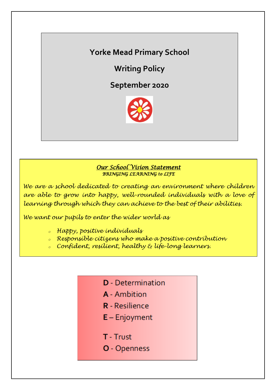# **Yorke Mead Primary School**

**Writing Policy**

**September 2020**



### *Our School Vision Statement BRINGING LEARNING to LIFE*

*We are a school dedicated to creating an environment where children are able to grow into happy, well-rounded individuals with a love of learning through which they can achieve to the best of their abilities.*

*We want our pupils to enter the wider world as*

- *<sup>o</sup> Happy, positive individuals*
- *<sup>o</sup> Responsible citizens who make a positive contribution*
- *<sup>o</sup> Confident, resilient, healthy & life-long learners.*
	- **D** Determination
	- A Ambition
	- **R** Resilience
	- $E -$  Enjoyment
	- T Trust
	- **O** Openness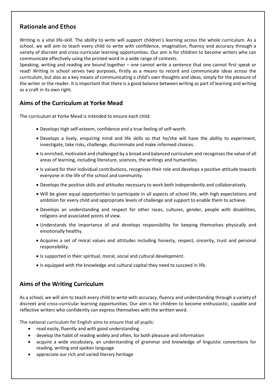# **Rationale and Ethos**

Writing is a vital life-skill. The ability to write will support children's learning across the whole curriculum. As a school, we will aim to teach every child to write with confidence, imagination, fluency and accuracy through a variety of discreet and cross-curricular learning opportunities. Our aim is for children to become writers who can communicate effectively using the printed word in a wide range of contexts.

Speaking, writing and reading are bound together – one cannot write a sentence that one cannot first speak or read! Writing in school serves two purposes, firstly as a means to record and communicate ideas across the curriculum, but also as a key means of communicating a child's own thoughts and ideas, simply for the pleasure of the writer or the reader. It is important that there is a good balance between writing as part of learning and writing as a craft in its own right.

### **Aims of the Curriculum at Yorke Mead**

The curriculum at Yorke Mead is intended to ensure each child:

- Develops high self-esteem, confidence and a true feeling of self-worth.
- Develops a lively, enquiring mind and life skills so that he/she will have the ability to experiment, investigate, take risks, challenge, discriminate and make informed choices.
- Is enriched, motivated and challenged by a broad and balanced curriculum and recognises the value of all areas of learning, including literature, sciences, the writings and humanities.
- Is valued for their individual contributions, recognises their role and develops a positive attitude towards everyone in the life of the school and community.
- Develops the positive skills and attitudes necessary to work both independently and collaboratively.
- Will be given equal opportunities to participate in all aspects of school life, with high expectations and ambition for every child and appropriate levels of challenge and support to enable them to achieve.
- Develops an understanding and respect for other races, cultures, gender, people with disabilities, religions and associated points of view.
- Understands the importance of and develops responsibility for keeping themselves physically and emotionally healthy.
- Acquires a set of moral values and attitudes including honesty, respect, sincerity, trust and personal responsibility.
- Is supported in their spiritual, moral, social and cultural development.
- Is equipped with the knowledge and cultural capital they need to succeed in life.

### **Aims of the Writing Curriculum**

As a school, we will aim to teach every child to write with accuracy, fluency and understanding through a variety of discreet and cross-curricular learning opportunities. Our aim is for children to become enthusiastic, capable and reflective writers who confidently can express themselves with the written word.

The national curriculum for English aims to ensure that all pupils:

- read easily, fluently and with good understanding
- develop the habit of reading widely and often, for both pleasure and information
- acquire a wide vocabulary, an understanding of grammar and knowledge of linguistic conventions for reading, writing and spoken language
- appreciate our rich and varied literary heritage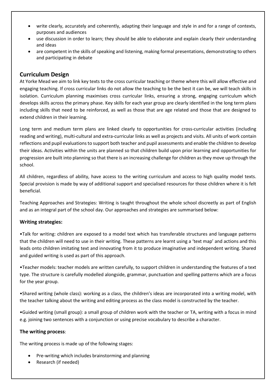- write clearly, accurately and coherently, adapting their language and style in and for a range of contexts, purposes and audiences
- use discussion in order to learn; they should be able to elaborate and explain clearly their understanding and ideas
- are competent in the skills of speaking and listening, making formal presentations, demonstrating to others and participating in debate

#### **Curriculum Design**

At Yorke Mead we aim to link key texts to the cross curricular teaching or theme where this will allow effective and engaging teaching. If cross curricular links do not allow the teaching to be the best it can be, we will teach skills in isolation. Curriculum planning maximises cross curricular links, ensuring a strong, engaging curriculum which develops skills across the primary phase. Key skills for each year group are clearly identified in the long term plans including skills that need to be reinforced, as well as those that are age related and those that are designed to extend children in their learning.

Long term and medium term plans are linked clearly to opportunities for cross-curricular activities (including reading and writing), multi-cultural and extra-curricular links as well as projects and visits. All units of work contain reflections and pupil evaluations to support both teacher and pupil assessments and enable the children to develop their ideas. Activities within the units are planned so that children build upon prior learning and opportunities for progression are built into planning so that there is an increasing challenge for children as they move up through the school.

All children, regardless of ability, have access to the writing curriculum and access to high quality model texts. Special provision is made by way of additional support and specialised resources for those children where it is felt beneficial.

Teaching Approaches and Strategies: Writing is taught throughout the whole school discreetly as part of English and as an integral part of the school day. Our approaches and strategies are summarised below:

#### **Writing strategies:**

•Talk for writing: children are exposed to a model text which has transferable structures and language patterns that the children will need to use in their writing. These patterns are learnt using a 'text map' and actions and this leads onto children imitating text and innovating from it to produce imaginative and independent writing. Shared and guided writing is used as part of this approach.

•Teacher models: teacher models are written carefully, to support children in understanding the features of a text type. The structure is carefully modelled alongside, grammar, punctuation and spelling patterns which are a focus for the year group.

•Shared writing (whole class): working as a class, the children's ideas are incorporated into a writing model, with the teacher talking about the writing and editing process as the class model is constructed by the teacher.

•Guided writing (small group): a small group of children work with the teacher or TA, writing with a focus in mind e.g. joining two sentences with a conjunction or using precise vocabulary to describe a character.

#### **The writing process**:

The writing process is made up of the following stages:

- Pre-writing which includes brainstorming and planning
- Research (if needed)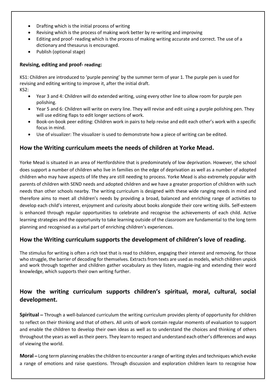- Drafting which is the initial process of writing
- Revising which is the process of making work better by re-writing and improving
- Editing and proof- reading which is the process of making writing accurate and correct. The use of a dictionary and thesaurus is encouraged.
- Publish (optional stage)

#### **Revising, editing and proof- reading:**

KS1: Children are introduced to 'purple penning' by the summer term of year 1. The purple pen is used for revising and editing writing to improve it, after the initial draft. KS2:

- Year 3 and 4: Children will do extended writing, using every other line to allow room for purple pen polishing.
- Year 5 and 6: Children will write on every line. They will revise and edit using a purple polishing pen. They will use editing flaps to edit longer sections of work.
- Book-on-book peer editing: Children work in pairs to help revise and edit each other's work with a specific focus in mind.
- Use of visualizer: The visualizer is used to demonstrate how a piece of writing can be edited.

### **How the Writing curriculum meets the needs of children at Yorke Mead.**

Yorke Mead is situated in an area of Hertfordshire that is predominately of low deprivation. However, the school does support a number of children who live in families on the edge of deprivation as well as a number of adopted children who may have aspects of life they are still needing to process. Yorke Mead is also extremely popular with parents of children with SEND needs and adopted children and we have a greater proportion of children with such needs than other schools nearby. The writing curriculum is designed with these wide ranging needs in mind and therefore aims to meet all children's needs by providing a broad, balanced and enriching range of activities to develop each child's interest, enjoyment and curiosity about books alongside their core writing skills. Self-esteem is enhanced through regular opportunities to celebrate and recognise the achievements of each child. Active learning strategies and the opportunity to take learning outside of the classroom are fundamental to the long term planning and recognised as a vital part of enriching children's experiences.

### **How the Writing curriculum supports the development of children's love of reading.**

The stimulus for writing is often a rich text that is read to children, engaging their interest and removing, for those who struggle, the barrier of decoding for themselves. Extracts from texts are used as models, which children unpick and work through together and children gather vocabulary as they listen, magpie-ing and extending their word knowledge, which supports their own writing further.

# **How the writing curriculum supports children's spiritual, moral, cultural, social development.**

**Spiritual –** Through a well-balanced curriculum the writing curriculum provides plenty of opportunity for children to reflect on their thinking and that of others. All units of work contain regular moments of evaluation to support and enable the children to develop their own ideas as well as to understand the choices and thinking of others throughout the years as well astheir peers. They learn to respect and understand each other's differences and ways of viewing the world.

**Moral –** Long term planning enables the children to encounter a range of writing styles and techniques which evoke a range of emotions and raise questions. Through discussion and exploration children learn to recognise how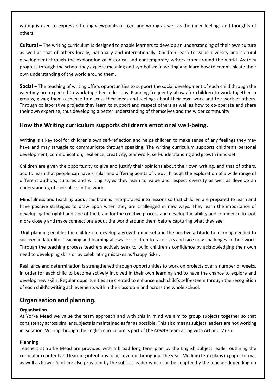writing is used to express differing viewpoints of right and wrong as well as the inner feelings and thoughts of others.

**Cultural –** The writing curriculum is designed to enable learners to develop an understanding of their own culture as well as that of others locally, nationally and internationally. Children learn to value diversity and cultural development through the exploration of historical and contemporary writers from around the world. As they progress through the school they explore meaning and symbolism in writing and learn how to communicate their own understanding of the world around them.

**Social –** The teaching of writing offers opportunities to support the social development of each child through the way they are expected to work together in lessons. Planning frequently allows for children to work together in groups, giving them a chance to discuss their ideas and feelings about their own work and the work of others. Through collaborative projects they learn to support and respect others as well as how to co-operate and share their own expertise, thus developing a better understanding of themselves and the wider community.

### **How the Writing curriculum supports children's emotional well-being.**

Writing is a key tool for children's own self-reflection and helps children to make sense of any feelings they may have and may struggle to communicate through speaking. The writing curriculum supports children's personal development, communication, resilience, creativity, teamwork, self-understanding and growth mind-set.

Children are given the opportunity to give and justify their opinions about their own writing, and that of others, and to learn that people can have similar and differing points of view. Through the exploration of a wide range of different authors, cultures and writing styles they learn to value and respect diversity as well as develop an understanding of their place in the world.

Mindfulness and teaching about the brain is incorporated into lessons so that children are prepared to learn and have positive strategies to draw upon when they are challenged in new ways. They learn the importance of developing the right hand side of the brain for the creative process and develop the ability and confidence to look more closely and make connections about the world around them before capturing what they see.

Unit planning enables the children to develop a growth mind-set and the positive attitude to learning needed to succeed in later life. Teaching and learning allows for children to take risks and face new challenges in their work. Through the teaching process teachers actively seek to build children's confidence by acknowledging their own need to developing skills or by celebrating mistakes as 'happy risks'.

Resilience and determination is strengthened through opportunities to work on projects over a number of weeks, in order for each child to become actively involved in their own learning and to have the chance to explore and develop new skills. Regular opportunities are created to enhance each child's self-esteem through the recognition of each child's writing achievements within the classroom and across the whole school.

# **Organisation and planning.**

#### **Organisation**

At Yorke Mead we value the team approach and with this in mind we aim to group subjects together so that consistency across similar subjects is maintained as far as possible. This also means subject leaders are not working in isolation. Writing through the English curriculum is part of the *Create* team along with Art and Music.

#### **Planning**

Teachers at Yorke Mead are provided with a broad long term plan by the English subject leader outlining the curriculum content and learning intentions to be covered throughout the year. Medium term plans in paper format as well as PowerPoint are also provided by the subject leader which can be adapted by the teacher depending on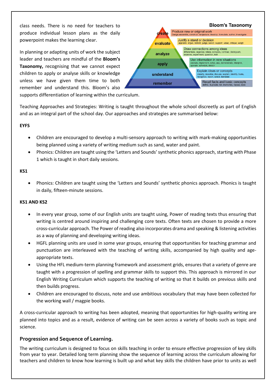class needs. There is no need for teachers to produce individual lesson plans as the daily powerpoint makes the learning clear.

In planning or adapting units of work the subject leader and teachers are mindful of the **Bloom's Taxonomy,** recognising that we cannot expect children to apply or analyse skills or knowledge unless we have given them time to both remember and understand this. Bloom's also



supports differentiation of learning within the curriculum.

Teaching Approaches and Strategies: Writing is taught throughout the whole school discreetly as part of English and as an integral part of the school day. Our approaches and strategies are summarised below:

#### **EYFS**

- Children are encouraged to develop a multi-sensory approach to writing with mark-making opportunities being planned using a variety of writing medium such as sand, water and paint.
- Phonics: Children are taught using the 'Letters and Sounds' synthetic phonics approach, starting with Phase 1 which is taught in short daily sessions.

#### **KS1**

 Phonics: Children are taught using the 'Letters and Sounds' synthetic phonics approach. Phonics is taught in daily, fifteen-minute sessions.

#### **KS1 AND KS2**

- In every year group, some of our English units are taught using, Power of reading texts thus ensuring that writing is centred around inspiring and challenging core texts. Often texts are chosen to provide a more cross-curricular approach. The Power of reading also incorporates drama and speaking & listening activities as a way of planning and developing writing ideas.
- HGFL planning units are used in some year groups, ensuring that opportunities for teaching grammar and punctuation are interleaved with the teaching of writing skills, accompanied by high quality and ageappropriate texts.
- Using the HFL medium-term planning framework and assessment grids, ensures that a variety of genre are taught with a progression of spelling and grammar skills to support this. This approach is mirrored in our English Writing Curriculum which supports the teaching of writing so that it builds on previous skills and then builds progress.
- Children are encouraged to discuss, note and use ambitious vocabulary that may have been collected for the working wall / magpie books.

A cross-curricular approach to writing has been adopted, meaning that opportunities for high-quality writing are planned into topics and as a result, evidence of writing can be seen across a variety of books such as topic and science.

#### **Progression and Sequence of Learning.**

The writing curriculum is designed to focus on skills teaching in order to ensure effective progression of key skills from year to year. Detailed long term planning show the sequence of learning across the curriculum allowing for teachers and children to know how learning is built up and what key skills the children have prior to units as well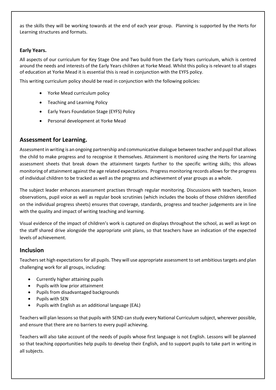as the skills they will be working towards at the end of each year group. Planning is supported by the Herts for Learning structures and formats.

#### **Early Years.**

All aspects of our curriculum for Key Stage One and Two build from the Early Years curriculum, which is centred around the needs and interests of the Early Years children at Yorke Mead. Whilst this policy is relevant to all stages of education at Yorke Mead it is essential this is read in conjunction with the EYFS policy.

This writing curriculum policy should be read in conjunction with the following policies:

- Yorke Mead curriculum policy
- Teaching and Learning Policy
- Early Years Foundation Stage (EYFS) Policy
- Personal development at Yorke Mead

#### **Assessment for Learning.**

Assessment in writing is an ongoing partnership and communicative dialogue between teacher and pupil that allows the child to make progress and to recognise it themselves. Attainment is monitored using the Herts for Learning assessment sheets that break down the attainment targets further to the specific writing skills; this allows monitoring of attainment against the age related expectations. Progress monitoring records allows for the progress of individual children to be tracked as well as the progress and achievement of year groups as a whole.

The subject leader enhances assessment practises through regular monitoring. Discussions with teachers, lesson observations, pupil voice as well as regular book scrutinies (which includes the books of those children identified on the individual progress sheets) ensures that coverage, standards, progress and teacher judgements are in line with the quality and impact of writing teaching and learning.

Visual evidence of the impact of children's work is captured on displays throughout the school, as well as kept on the staff shared drive alongside the appropriate unit plans, so that teachers have an indication of the expected levels of achievement.

#### **Inclusion**

Teachers set high expectations for all pupils. They will use appropriate assessment to set ambitious targets and plan challenging work for all groups, including:

- Currently higher attaining pupils
- Pupils with low prior attainment
- Pupils from disadvantaged backgrounds
- Pupils with SEN
- Pupils with English as an additional language (EAL)

Teachers will plan lessons so that pupils with SEND can study every National Curriculum subject, wherever possible, and ensure that there are no barriers to every pupil achieving.

Teachers will also take account of the needs of pupils whose first language is not English. Lessons will be planned so that teaching opportunities help pupils to develop their English, and to support pupils to take part in writing in all subjects.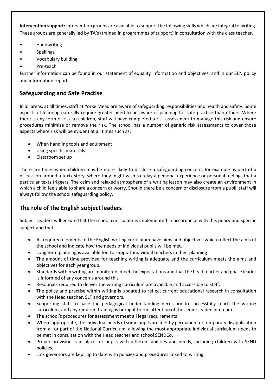**Intervention support:** Intervention groups are available to support the following skills which are integral to writing. These groups are generally led by TA's (trained in programmes of support) in consultation with the class teacher.

- Handwriting
- **Spellings**
- Vocabulary building
- Pre-teach

Further information can be found in our statement of equality information and objectives, and in our SEN policy and information report.

# **Safeguarding and Safe Practise**

In all areas, at all times, staff at Yorke Mead are aware of safeguarding responsibilities and health and safety. Some aspects of learning naturally require greater need to be aware of planning for safe practise than others. Where there is any form of risk to children, staff will have completed a risk assessment to manage this risk and ensure procedures minimise or remove the risk. The school has a number of generic risk assessments to cover those aspects where risk will be evident at all times such as:

- When handling tools and equipment
- Using specific materials
- Classroom set up

There are times when children may be more likely to disclose a safeguarding concern, for example as part of a discussion around a text/ story, where they might wish to relay a personal experience or personal feelings that a particular texts triggers. The calm and relaxed atmosphere of a writing lesson may also create an environment in which a child feels able to share a concern or worry. Should there be a concern or disclosure from a pupil, staff will always follow the school safeguarding policy.

### **The role of the English subject leaders**

Subject Leaders will ensure that the school curriculum is implemented in accordance with this policy and specific subject and that:

- All required elements of the English writing curriculum have aims and objectives which reflect the aims of the school and indicate how the needs of individual pupils will be met.
- Long term planning is available for to support individual teachers in their planning
- The amount of time provided for teaching writing is adequate and the curriculum meets the aims and objectives for each year group.
- Standards within writing are monitored, meet the expectations and that the head teacher and phase leader is informed of any concerns around this.
- Resources required to deliver the writing curriculum are available and accessible to staff.
- The policy and practise within writing is updated to reflect current educational research in consultation with the Head teacher, SLT and governors.
- Supporting staff to have the pedagogical understanding necessary to successfully teach the writing curriculum, and any required training is brought to the attention of the senior leadership team.
- The school's procedures for assessment meet all legal requirements
- Where appropriate, the individual needs of some pupils are met by permanent or temporary disapplication from all or part of the National Curriculum, allowing the most appropriate individual curriculum needs to be met in consultation with the Head teacher and school SENDCo.
- Proper provision is in place for pupils with different abilities and needs, including children with SEND policies.
- Link governors are kept up to date with policies and procedures linked to writing.